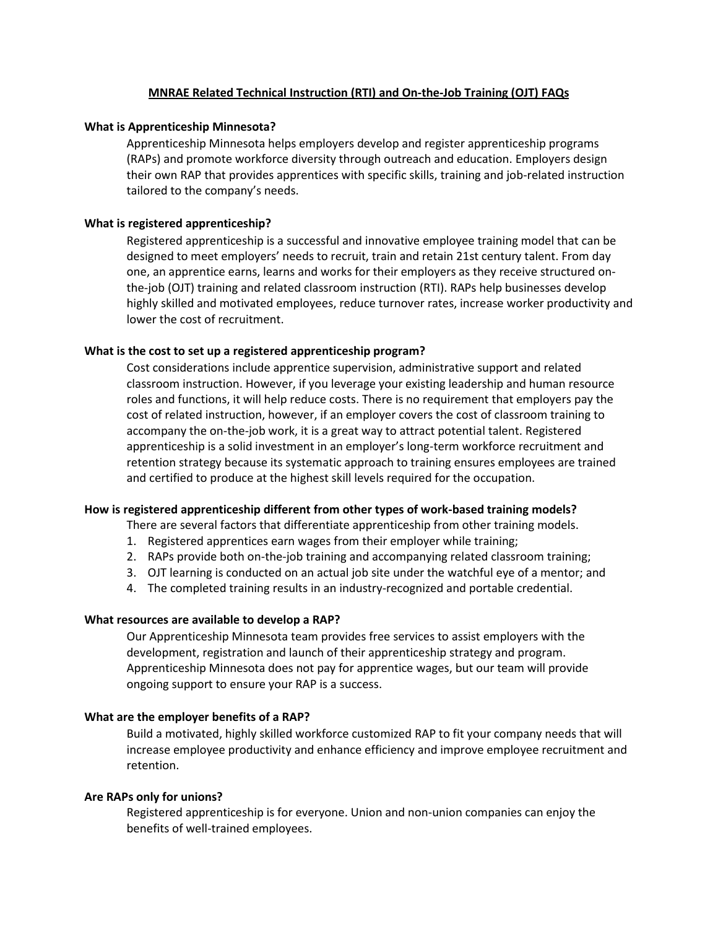# **MNRAE Related Technical Instruction (RTI) and On-the-Job Training (OJT) FAQs**

# **What is Apprenticeship Minnesota?**

Apprenticeship Minnesota helps employers develop and register apprenticeship programs (RAPs) and promote workforce diversity through outreach and education. Employers design their own RAP that provides apprentices with specific skills, training and job-related instruction tailored to the company's needs.

# **What is registered apprenticeship?**

Registered apprenticeship is a successful and innovative employee training model that can be designed to meet employers' needs to recruit, train and retain 21st century talent. From day one, an apprentice earns, learns and works for their employers as they receive structured onthe-job (OJT) training and related classroom instruction (RTI). RAPs help businesses develop highly skilled and motivated employees, reduce turnover rates, increase worker productivity and lower the cost of recruitment.

## **What is the cost to set up a registered apprenticeship program?**

Cost considerations include apprentice supervision, administrative support and related classroom instruction. However, if you leverage your existing leadership and human resource roles and functions, it will help reduce costs. There is no requirement that employers pay the cost of related instruction, however, if an employer covers the cost of classroom training to accompany the on-the-job work, it is a great way to attract potential talent. Registered apprenticeship is a solid investment in an employer's long-term workforce recruitment and retention strategy because its systematic approach to training ensures employees are trained and certified to produce at the highest skill levels required for the occupation.

## **How is registered apprenticeship different from other types of work-based training models?**

There are several factors that differentiate apprenticeship from other training models.

- 1. Registered apprentices earn wages from their employer while training;
- 2. RAPs provide both on-the-job training and accompanying related classroom training;
- 3. OJT learning is conducted on an actual job site under the watchful eye of a mentor; and
- 4. The completed training results in an industry-recognized and portable credential.

## **What resources are available to develop a RAP?**

Our Apprenticeship Minnesota team provides free services to assist employers with the development, registration and launch of their apprenticeship strategy and program. Apprenticeship Minnesota does not pay for apprentice wages, but our team will provide ongoing support to ensure your RAP is a success.

## **What are the employer benefits of a RAP?**

Build a motivated, highly skilled workforce customized RAP to fit your company needs that will increase employee productivity and enhance efficiency and improve employee recruitment and retention.

## **Are RAPs only for unions?**

Registered apprenticeship is for everyone. Union and non-union companies can enjoy the benefits of well-trained employees.